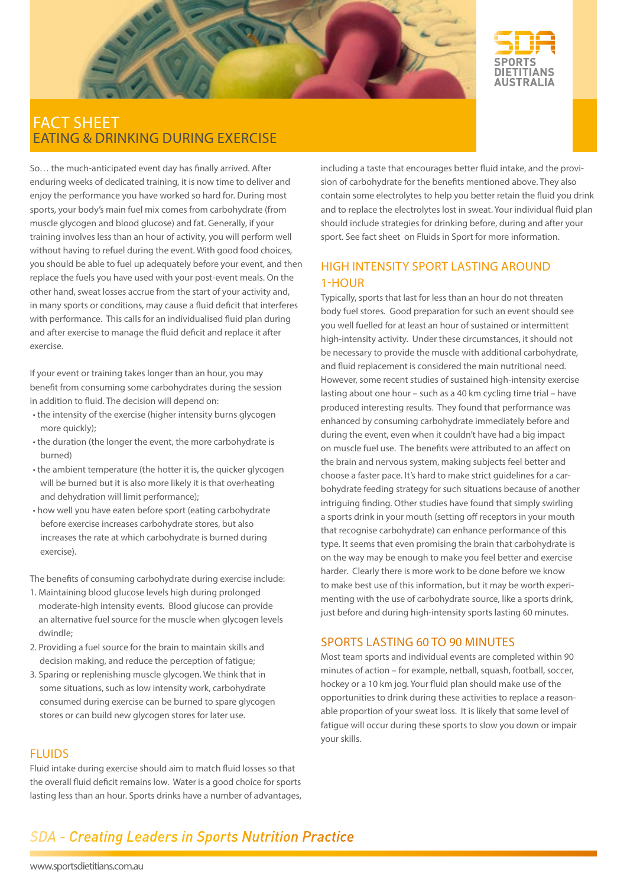



### fact sheet eating & drinking during exercise

So… the much-anticipated event day has finally arrived. After enduring weeks of dedicated training, it is now time to deliver and enjoy the performance you have worked so hard for. During most sports, your body's main fuel mix comes from carbohydrate (from muscle glycogen and blood glucose) and fat. Generally, if your training involves less than an hour of activity, you will perform well without having to refuel during the event. With good food choices, you should be able to fuel up adequately before your event, and then replace the fuels you have used with your post-event meals. On the other hand, sweat losses accrue from the start of your activity and, in many sports or conditions, may cause a fluid deficit that interferes with performance. This calls for an individualised fluid plan during and after exercise to manage the fluid deficit and replace it after exercise.

If your event or training takes longer than an hour, you may benefit from consuming some carbohydrates during the session in addition to fluid. The decision will depend on:

- the intensity of the exercise (higher intensity burns glycogen more quickly);
- the duration (the longer the event, the more carbohydrate is burned)
- the ambient temperature (the hotter it is, the quicker glycogen will be burned but it is also more likely it is that overheating and dehydration will limit performance);
- how well you have eaten before sport (eating carbohydrate before exercise increases carbohydrate stores, but also increases the rate at which carbohydrate is burned during exercise).

The benefits of consuming carbohydrate during exercise include:

- 1. Maintaining blood glucose levels high during prolonged moderate-high intensity events. Blood glucose can provide an alternative fuel source for the muscle when glycogen levels dwindle;
- 2. Providing a fuel source for the brain to maintain skills and decision making, and reduce the perception of fatigue;
- 3. Sparing or replenishing muscle glycogen. We think that in some situations, such as low intensity work, carbohydrate consumed during exercise can be burned to spare glycogen stores or can build new glycogen stores for later use.

### **FLUIDS**

Fluid intake during exercise should aim to match fluid losses so that the overall fluid deficit remains low. Water is a good choice for sports lasting less than an hour. Sports drinks have a number of advantages, including a taste that encourages better fluid intake, and the provision of carbohydrate for the benefits mentioned above. They also contain some electrolytes to help you better retain the fluid you drink and to replace the electrolytes lost in sweat. Your individual fluid plan should include strategies for drinking before, during and after your sport. See fact sheet on Fluids in Sport for more information.

### High intensity sport lasting around 1-hour

Typically, sports that last for less than an hour do not threaten body fuel stores. Good preparation for such an event should see you well fuelled for at least an hour of sustained or intermittent high-intensity activity. Under these circumstances, it should not be necessary to provide the muscle with additional carbohydrate, and fluid replacement is considered the main nutritional need. However, some recent studies of sustained high-intensity exercise lasting about one hour – such as a 40 km cycling time trial – have produced interesting results. They found that performance was enhanced by consuming carbohydrate immediately before and during the event, even when it couldn't have had a big impact on muscle fuel use. The benefits were attributed to an affect on the brain and nervous system, making subjects feel better and choose a faster pace. It's hard to make strict guidelines for a carbohydrate feeding strategy for such situations because of another intriguing finding. Other studies have found that simply swirling a sports drink in your mouth (setting off receptors in your mouth that recognise carbohydrate) can enhance performance of this type. It seems that even promising the brain that carbohydrate is on the way may be enough to make you feel better and exercise harder. Clearly there is more work to be done before we know to make best use of this information, but it may be worth experimenting with the use of carbohydrate source, like a sports drink, just before and during high-intensity sports lasting 60 minutes.

### Sports lasting 60 to 90 minutes

Most team sports and individual events are completed within 90 minutes of action – for example, netball, squash, football, soccer, hockey or a 10 km jog. Your fluid plan should make use of the opportunities to drink during these activities to replace a reasonable proportion of your sweat loss. It is likely that some level of fatigue will occur during these sports to slow you down or impair your skills.

# **SDA - Creating Leaders in Sports Nutrition Practice**